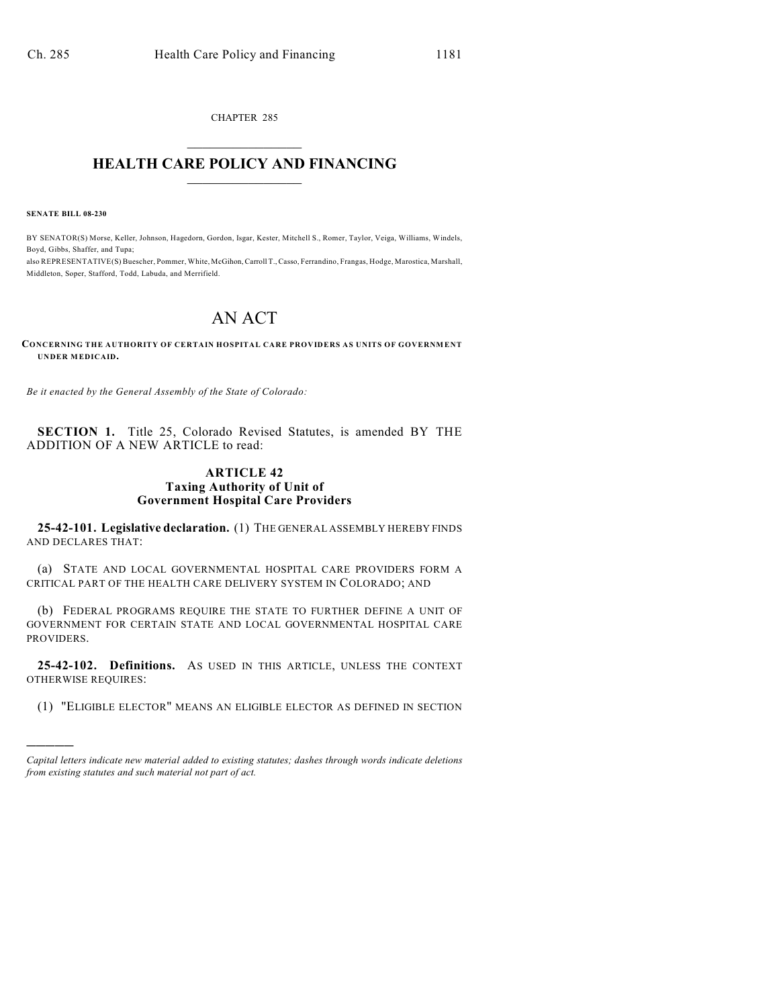CHAPTER 285  $\mathcal{L}_\text{max}$  . The set of the set of the set of the set of the set of the set of the set of the set of the set of the set of the set of the set of the set of the set of the set of the set of the set of the set of the set

### **HEALTH CARE POLICY AND FINANCING**  $\_$   $\_$   $\_$   $\_$   $\_$   $\_$   $\_$   $\_$

**SENATE BILL 08-230**

)))))

BY SENATOR(S) Morse, Keller, Johnson, Hagedorn, Gordon, Isgar, Kester, Mitchell S., Romer, Taylor, Veiga, Williams, Windels, Boyd, Gibbs, Shaffer, and Tupa;

also REPRESENTATIVE(S) Buescher, Pommer, White, McGihon, Carroll T., Casso, Ferrandino, Frangas, Hodge, Marostica, Marshall, Middleton, Soper, Stafford, Todd, Labuda, and Merrifield.

# AN ACT

**CONCERNING THE AUTHORITY OF CERTAIN HOSPITAL CARE PROVIDERS AS UNITS OF GOVERNMENT UNDER MEDICAID.**

*Be it enacted by the General Assembly of the State of Colorado:*

**SECTION 1.** Title 25, Colorado Revised Statutes, is amended BY THE ADDITION OF A NEW ARTICLE to read:

### **ARTICLE 42 Taxing Authority of Unit of Government Hospital Care Providers**

**25-42-101. Legislative declaration.** (1) THE GENERAL ASSEMBLY HEREBY FINDS AND DECLARES THAT:

(a) STATE AND LOCAL GOVERNMENTAL HOSPITAL CARE PROVIDERS FORM A CRITICAL PART OF THE HEALTH CARE DELIVERY SYSTEM IN COLORADO; AND

(b) FEDERAL PROGRAMS REQUIRE THE STATE TO FURTHER DEFINE A UNIT OF GOVERNMENT FOR CERTAIN STATE AND LOCAL GOVERNMENTAL HOSPITAL CARE PROVIDERS.

**25-42-102. Definitions.** AS USED IN THIS ARTICLE, UNLESS THE CONTEXT OTHERWISE REQUIRES:

(1) "ELIGIBLE ELECTOR" MEANS AN ELIGIBLE ELECTOR AS DEFINED IN SECTION

*Capital letters indicate new material added to existing statutes; dashes through words indicate deletions from existing statutes and such material not part of act.*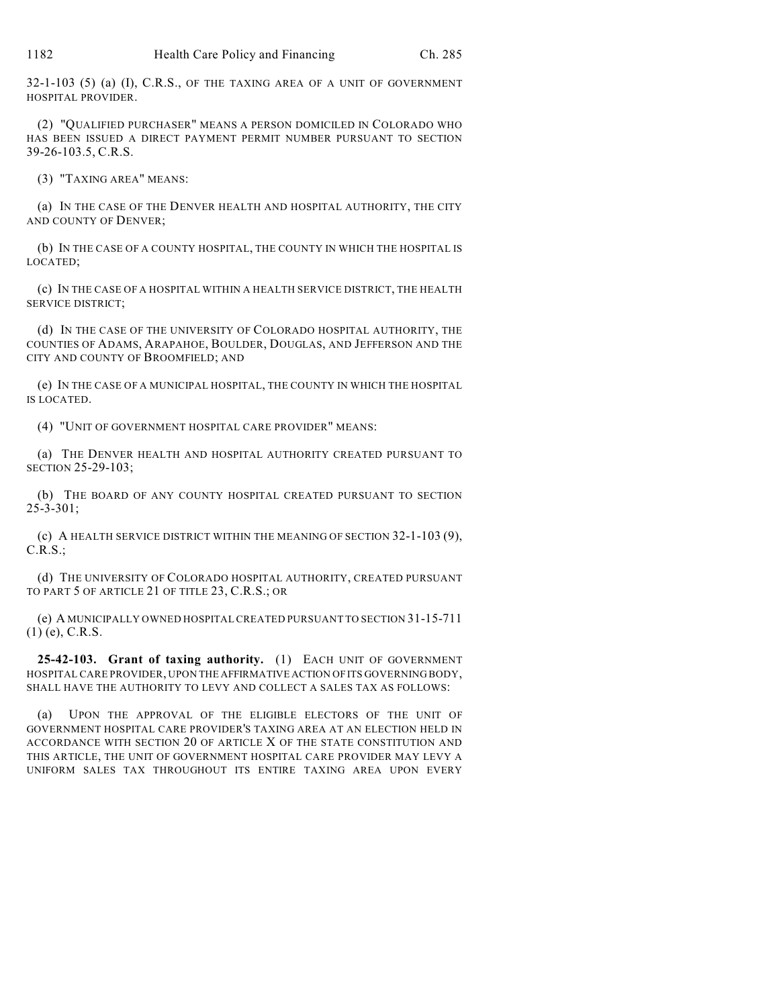32-1-103 (5) (a) (I), C.R.S., OF THE TAXING AREA OF A UNIT OF GOVERNMENT HOSPITAL PROVIDER.

(2) "QUALIFIED PURCHASER" MEANS A PERSON DOMICILED IN COLORADO WHO HAS BEEN ISSUED A DIRECT PAYMENT PERMIT NUMBER PURSUANT TO SECTION 39-26-103.5, C.R.S.

(3) "TAXING AREA" MEANS:

(a) IN THE CASE OF THE DENVER HEALTH AND HOSPITAL AUTHORITY, THE CITY AND COUNTY OF DENVER;

(b) IN THE CASE OF A COUNTY HOSPITAL, THE COUNTY IN WHICH THE HOSPITAL IS LOCATED;

(c) IN THE CASE OF A HOSPITAL WITHIN A HEALTH SERVICE DISTRICT, THE HEALTH SERVICE DISTRICT;

(d) IN THE CASE OF THE UNIVERSITY OF COLORADO HOSPITAL AUTHORITY, THE COUNTIES OF ADAMS, ARAPAHOE, BOULDER, DOUGLAS, AND JEFFERSON AND THE CITY AND COUNTY OF BROOMFIELD; AND

(e) IN THE CASE OF A MUNICIPAL HOSPITAL, THE COUNTY IN WHICH THE HOSPITAL IS LOCATED.

(4) "UNIT OF GOVERNMENT HOSPITAL CARE PROVIDER" MEANS:

(a) THE DENVER HEALTH AND HOSPITAL AUTHORITY CREATED PURSUANT TO SECTION 25-29-103;

(b) THE BOARD OF ANY COUNTY HOSPITAL CREATED PURSUANT TO SECTION 25-3-301;

(c) A HEALTH SERVICE DISTRICT WITHIN THE MEANING OF SECTION 32-1-103 (9), C.R.S.;

(d) THE UNIVERSITY OF COLORADO HOSPITAL AUTHORITY, CREATED PURSUANT TO PART 5 OF ARTICLE 21 OF TITLE 23, C.R.S.; OR

(e) A MUNICIPALLY OWNED HOSPITAL CREATED PURSUANT TO SECTION 31-15-711 (1) (e), C.R.S.

**25-42-103. Grant of taxing authority.** (1) EACH UNIT OF GOVERNMENT HOSPITAL CARE PROVIDER, UPON THE AFFIRMATIVE ACTION OF ITS GOVERNING BODY, SHALL HAVE THE AUTHORITY TO LEVY AND COLLECT A SALES TAX AS FOLLOWS:

(a) UPON THE APPROVAL OF THE ELIGIBLE ELECTORS OF THE UNIT OF GOVERNMENT HOSPITAL CARE PROVIDER'S TAXING AREA AT AN ELECTION HELD IN ACCORDANCE WITH SECTION 20 OF ARTICLE X OF THE STATE CONSTITUTION AND THIS ARTICLE, THE UNIT OF GOVERNMENT HOSPITAL CARE PROVIDER MAY LEVY A UNIFORM SALES TAX THROUGHOUT ITS ENTIRE TAXING AREA UPON EVERY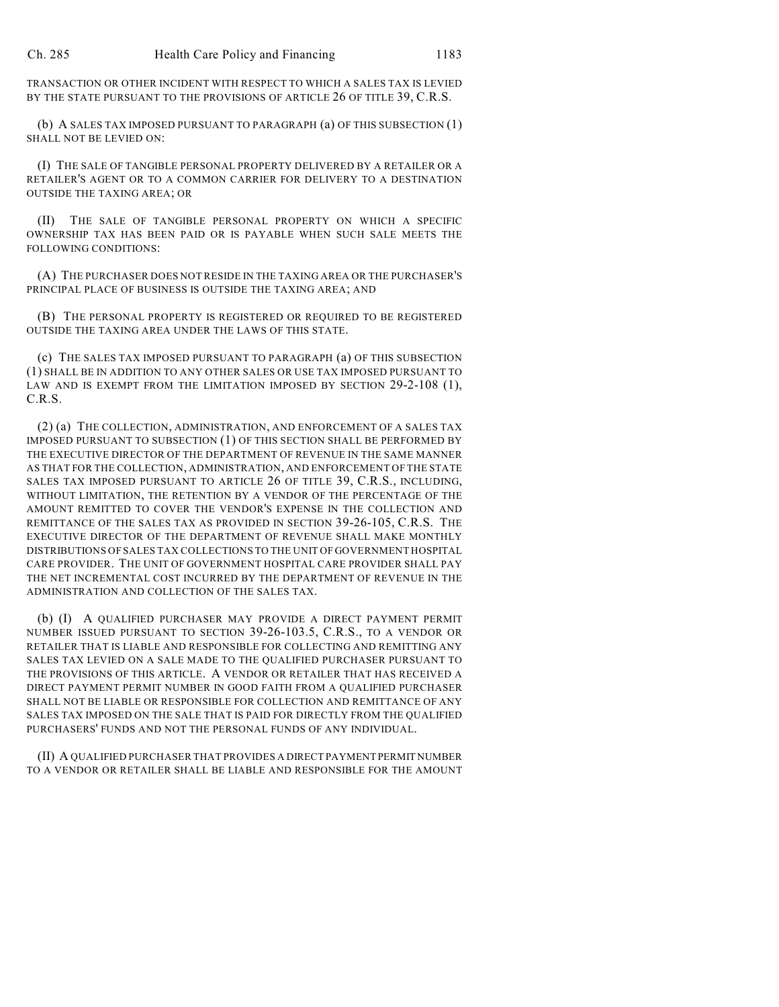TRANSACTION OR OTHER INCIDENT WITH RESPECT TO WHICH A SALES TAX IS LEVIED BY THE STATE PURSUANT TO THE PROVISIONS OF ARTICLE 26 OF TITLE 39, C.R.S.

(b) A SALES TAX IMPOSED PURSUANT TO PARAGRAPH (a) OF THIS SUBSECTION (1) SHALL NOT BE LEVIED ON:

(I) THE SALE OF TANGIBLE PERSONAL PROPERTY DELIVERED BY A RETAILER OR A RETAILER'S AGENT OR TO A COMMON CARRIER FOR DELIVERY TO A DESTINATION OUTSIDE THE TAXING AREA; OR

(II) THE SALE OF TANGIBLE PERSONAL PROPERTY ON WHICH A SPECIFIC OWNERSHIP TAX HAS BEEN PAID OR IS PAYABLE WHEN SUCH SALE MEETS THE FOLLOWING CONDITIONS:

(A) THE PURCHASER DOES NOT RESIDE IN THE TAXING AREA OR THE PURCHASER'S PRINCIPAL PLACE OF BUSINESS IS OUTSIDE THE TAXING AREA; AND

(B) THE PERSONAL PROPERTY IS REGISTERED OR REQUIRED TO BE REGISTERED OUTSIDE THE TAXING AREA UNDER THE LAWS OF THIS STATE.

(c) THE SALES TAX IMPOSED PURSUANT TO PARAGRAPH (a) OF THIS SUBSECTION (1) SHALL BE IN ADDITION TO ANY OTHER SALES OR USE TAX IMPOSED PURSUANT TO LAW AND IS EXEMPT FROM THE LIMITATION IMPOSED BY SECTION 29-2-108 (1), C.R.S.

(2) (a) THE COLLECTION, ADMINISTRATION, AND ENFORCEMENT OF A SALES TAX IMPOSED PURSUANT TO SUBSECTION (1) OF THIS SECTION SHALL BE PERFORMED BY THE EXECUTIVE DIRECTOR OF THE DEPARTMENT OF REVENUE IN THE SAME MANNER AS THAT FOR THE COLLECTION, ADMINISTRATION, AND ENFORCEMENT OF THE STATE SALES TAX IMPOSED PURSUANT TO ARTICLE 26 OF TITLE 39, C.R.S., INCLUDING, WITHOUT LIMITATION, THE RETENTION BY A VENDOR OF THE PERCENTAGE OF THE AMOUNT REMITTED TO COVER THE VENDOR'S EXPENSE IN THE COLLECTION AND REMITTANCE OF THE SALES TAX AS PROVIDED IN SECTION 39-26-105, C.R.S. THE EXECUTIVE DIRECTOR OF THE DEPARTMENT OF REVENUE SHALL MAKE MONTHLY DISTRIBUTIONS OF SALES TAX COLLECTIONS TO THE UNIT OF GOVERNMENT HOSPITAL CARE PROVIDER. THE UNIT OF GOVERNMENT HOSPITAL CARE PROVIDER SHALL PAY THE NET INCREMENTAL COST INCURRED BY THE DEPARTMENT OF REVENUE IN THE ADMINISTRATION AND COLLECTION OF THE SALES TAX.

(b) (I) A QUALIFIED PURCHASER MAY PROVIDE A DIRECT PAYMENT PERMIT NUMBER ISSUED PURSUANT TO SECTION 39-26-103.5, C.R.S., TO A VENDOR OR RETAILER THAT IS LIABLE AND RESPONSIBLE FOR COLLECTING AND REMITTING ANY SALES TAX LEVIED ON A SALE MADE TO THE QUALIFIED PURCHASER PURSUANT TO THE PROVISIONS OF THIS ARTICLE. A VENDOR OR RETAILER THAT HAS RECEIVED A DIRECT PAYMENT PERMIT NUMBER IN GOOD FAITH FROM A QUALIFIED PURCHASER SHALL NOT BE LIABLE OR RESPONSIBLE FOR COLLECTION AND REMITTANCE OF ANY SALES TAX IMPOSED ON THE SALE THAT IS PAID FOR DIRECTLY FROM THE QUALIFIED PURCHASERS' FUNDS AND NOT THE PERSONAL FUNDS OF ANY INDIVIDUAL.

(II) A QUALIFIED PURCHASER THAT PROVIDES A DIRECT PAYMENT PERMIT NUMBER TO A VENDOR OR RETAILER SHALL BE LIABLE AND RESPONSIBLE FOR THE AMOUNT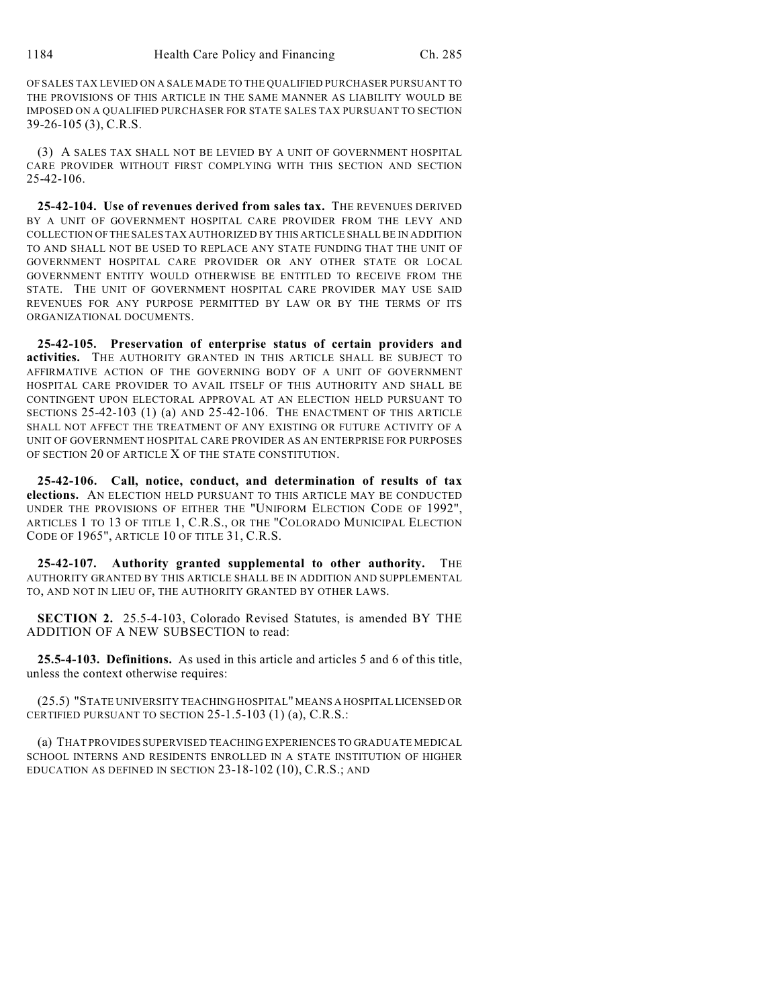OF SALES TAX LEVIED ON A SALE MADE TO THE QUALIFIED PURCHASER PURSUANT TO THE PROVISIONS OF THIS ARTICLE IN THE SAME MANNER AS LIABILITY WOULD BE IMPOSED ON A QUALIFIED PURCHASER FOR STATE SALES TAX PURSUANT TO SECTION 39-26-105 (3), C.R.S.

(3) A SALES TAX SHALL NOT BE LEVIED BY A UNIT OF GOVERNMENT HOSPITAL CARE PROVIDER WITHOUT FIRST COMPLYING WITH THIS SECTION AND SECTION 25-42-106.

**25-42-104. Use of revenues derived from sales tax.** THE REVENUES DERIVED BY A UNIT OF GOVERNMENT HOSPITAL CARE PROVIDER FROM THE LEVY AND COLLECTION OF THE SALES TAX AUTHORIZED BY THIS ARTICLE SHALL BE IN ADDITION TO AND SHALL NOT BE USED TO REPLACE ANY STATE FUNDING THAT THE UNIT OF GOVERNMENT HOSPITAL CARE PROVIDER OR ANY OTHER STATE OR LOCAL GOVERNMENT ENTITY WOULD OTHERWISE BE ENTITLED TO RECEIVE FROM THE STATE. THE UNIT OF GOVERNMENT HOSPITAL CARE PROVIDER MAY USE SAID REVENUES FOR ANY PURPOSE PERMITTED BY LAW OR BY THE TERMS OF ITS ORGANIZATIONAL DOCUMENTS.

**25-42-105. Preservation of enterprise status of certain providers and activities.** THE AUTHORITY GRANTED IN THIS ARTICLE SHALL BE SUBJECT TO AFFIRMATIVE ACTION OF THE GOVERNING BODY OF A UNIT OF GOVERNMENT HOSPITAL CARE PROVIDER TO AVAIL ITSELF OF THIS AUTHORITY AND SHALL BE CONTINGENT UPON ELECTORAL APPROVAL AT AN ELECTION HELD PURSUANT TO SECTIONS 25-42-103 (1) (a) AND 25-42-106. THE ENACTMENT OF THIS ARTICLE SHALL NOT AFFECT THE TREATMENT OF ANY EXISTING OR FUTURE ACTIVITY OF A UNIT OF GOVERNMENT HOSPITAL CARE PROVIDER AS AN ENTERPRISE FOR PURPOSES OF SECTION 20 OF ARTICLE X OF THE STATE CONSTITUTION.

**25-42-106. Call, notice, conduct, and determination of results of tax elections.** AN ELECTION HELD PURSUANT TO THIS ARTICLE MAY BE CONDUCTED UNDER THE PROVISIONS OF EITHER THE "UNIFORM ELECTION CODE OF 1992", ARTICLES 1 TO 13 OF TITLE 1, C.R.S., OR THE "COLORADO MUNICIPAL ELECTION CODE OF 1965", ARTICLE 10 OF TITLE 31, C.R.S.

**25-42-107. Authority granted supplemental to other authority.** THE AUTHORITY GRANTED BY THIS ARTICLE SHALL BE IN ADDITION AND SUPPLEMENTAL TO, AND NOT IN LIEU OF, THE AUTHORITY GRANTED BY OTHER LAWS.

**SECTION 2.** 25.5-4-103, Colorado Revised Statutes, is amended BY THE ADDITION OF A NEW SUBSECTION to read:

**25.5-4-103. Definitions.** As used in this article and articles 5 and 6 of this title, unless the context otherwise requires:

(25.5) "STATE UNIVERSITY TEACHING HOSPITAL" MEANS A HOSPITAL LICENSED OR CERTIFIED PURSUANT TO SECTION 25-1.5-103 (1) (a), C.R.S.:

(a) THAT PROVIDES SUPERVISED TEACHING EXPERIENCES TO GRADUATE MEDICAL SCHOOL INTERNS AND RESIDENTS ENROLLED IN A STATE INSTITUTION OF HIGHER EDUCATION AS DEFINED IN SECTION 23-18-102 (10), C.R.S.; AND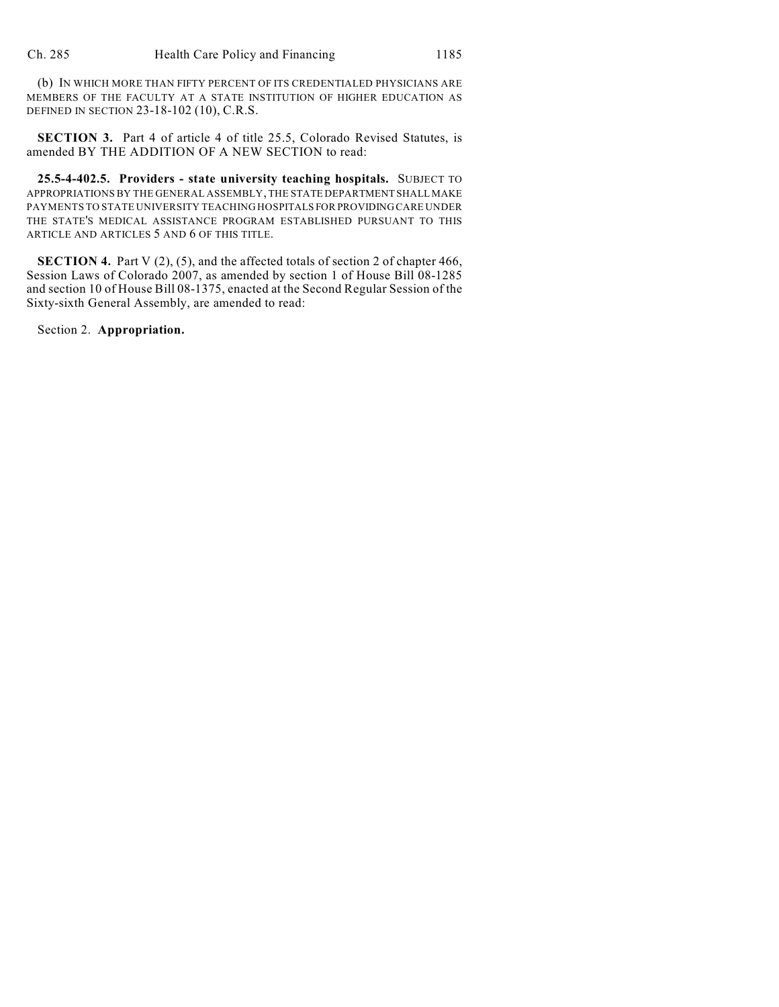(b) IN WHICH MORE THAN FIFTY PERCENT OF ITS CREDENTIALED PHYSICIANS ARE MEMBERS OF THE FACULTY AT A STATE INSTITUTION OF HIGHER EDUCATION AS DEFINED IN SECTION 23-18-102 (10), C.R.S.

**SECTION 3.** Part 4 of article 4 of title 25.5, Colorado Revised Statutes, is amended BY THE ADDITION OF A NEW SECTION to read:

**25.5-4-402.5. Providers - state university teaching hospitals.** SUBJECT TO APPROPRIATIONS BY THE GENERAL ASSEMBLY, THE STATE DEPARTMENT SHALL MAKE PAYMENTS TO STATE UNIVERSITY TEACHING HOSPITALS FOR PROVIDING CARE UNDER THE STATE'S MEDICAL ASSISTANCE PROGRAM ESTABLISHED PURSUANT TO THIS ARTICLE AND ARTICLES 5 AND 6 OF THIS TITLE.

**SECTION 4.** Part V (2), (5), and the affected totals of section 2 of chapter 466, Session Laws of Colorado 2007, as amended by section 1 of House Bill 08-1285 and section 10 of House Bill 08-1375, enacted at the Second Regular Session of the Sixty-sixth General Assembly, are amended to read:

Section 2. **Appropriation.**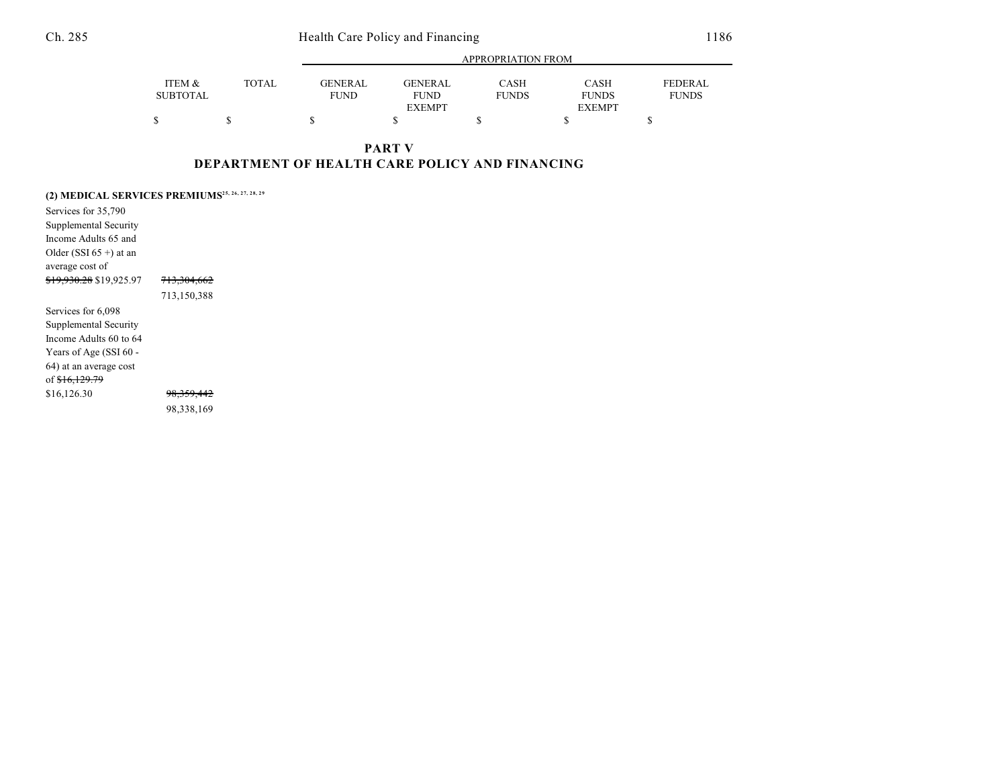Ch. 285 Health Care Policy and Financing 1186

|                 |              | APPROPRIATION FROM |               |              |               |                |  |
|-----------------|--------------|--------------------|---------------|--------------|---------------|----------------|--|
| ITEM &          | <b>TOTAL</b> | <b>GENERAL</b>     | GENERAL       | CASH         | <b>CASH</b>   | <b>FEDERAL</b> |  |
| <b>SUBTOTAL</b> |              | <b>FUND</b>        | <b>FUND</b>   | <b>FUNDS</b> | <b>FUNDS</b>  | <b>FUNDS</b>   |  |
|                 |              |                    | <b>EXEMPT</b> |              | <b>EXEMPT</b> |                |  |
| Φ               |              |                    |               |              |               |                |  |

**PART V DEPARTMENT OF HEALTH CARE POLICY AND FINANCING**

|                                    | (2) MEDICAL SERVICES PREMIUMS <sup>25, 26, 27, 28, 29</sup> |
|------------------------------------|-------------------------------------------------------------|
| Services for 35,790                |                                                             |
| Supplemental Security              |                                                             |
| Income Adults 65 and               |                                                             |
| Older (SSI $65 +$ ) at an          |                                                             |
| average cost of                    |                                                             |
| <del>\$19,930.28</del> \$19,925.97 | <del>713,304,662</del>                                      |
|                                    | 713,150,388                                                 |
| Services for 6,098                 |                                                             |
| Supplemental Security              |                                                             |
| Income Adults 60 to 64             |                                                             |
| Years of Age (SSI 60 -             |                                                             |
| 64) at an average cost             |                                                             |
| of <del>\$16,129.79</del>          |                                                             |
| \$16,126.30                        | <del>98.359.442</del>                                       |
|                                    | 98,338,169                                                  |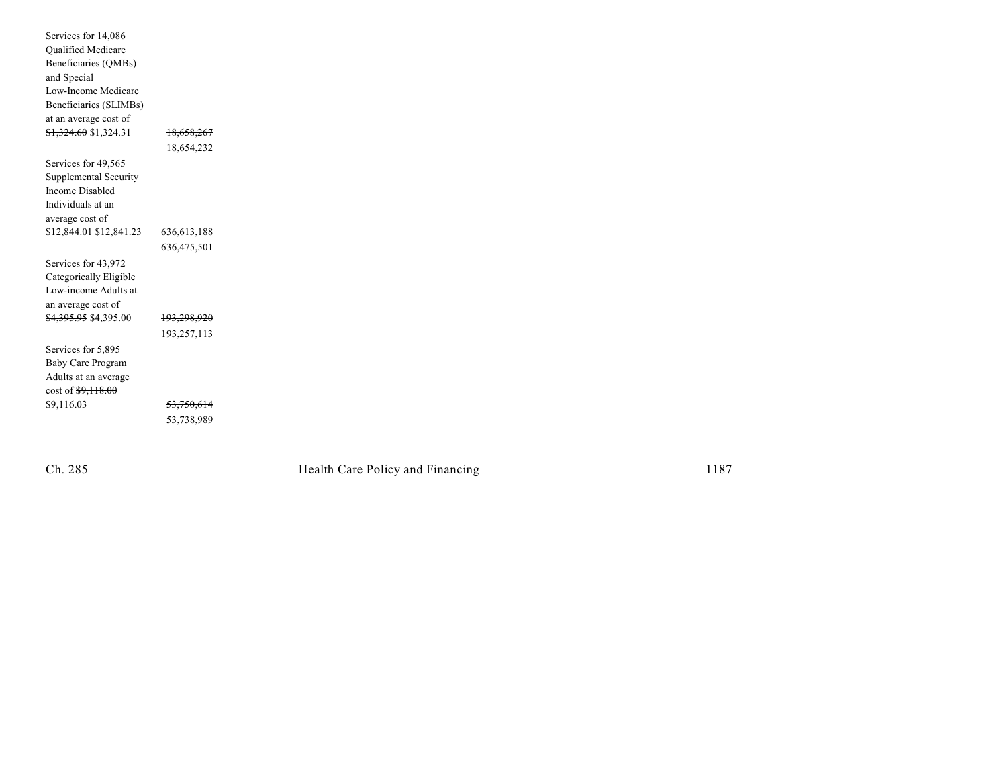| Services for 14,086      |             |
|--------------------------|-------------|
| Qualified Medicare       |             |
| Beneficiaries (QMBs)     |             |
| and Special              |             |
| Low-Income Medicare      |             |
| Beneficiaries (SLIMBs)   |             |
| at an average cost of    |             |
| \$1,324.60 \$1,324.31    | 18,658,267  |
|                          |             |
|                          | 18,654,232  |
| Services for 49,565      |             |
| Supplemental Security    |             |
| Income Disabled          |             |
| Individuals at an        |             |
| average cost of          |             |
| \$12,844.01 \$12,841.23  | 636,613,188 |
|                          | 636,475,501 |
|                          |             |
| Services for 43,972      |             |
| Categorically Eligible   |             |
| Low-income Adults at     |             |
| an average cost of       |             |
| \$4,395.95 \$4,395.00    | 193,298,920 |
|                          | 193,257,113 |
| Services for 5,895       |             |
| <b>Baby Care Program</b> |             |
| Adults at an average     |             |
| cost of \$9,118.00       |             |
|                          |             |
| \$9,116.03               | 53,750,614  |
|                          | 53,738,989  |
|                          |             |

Ch. 285

Health Care Policy and Financing 1187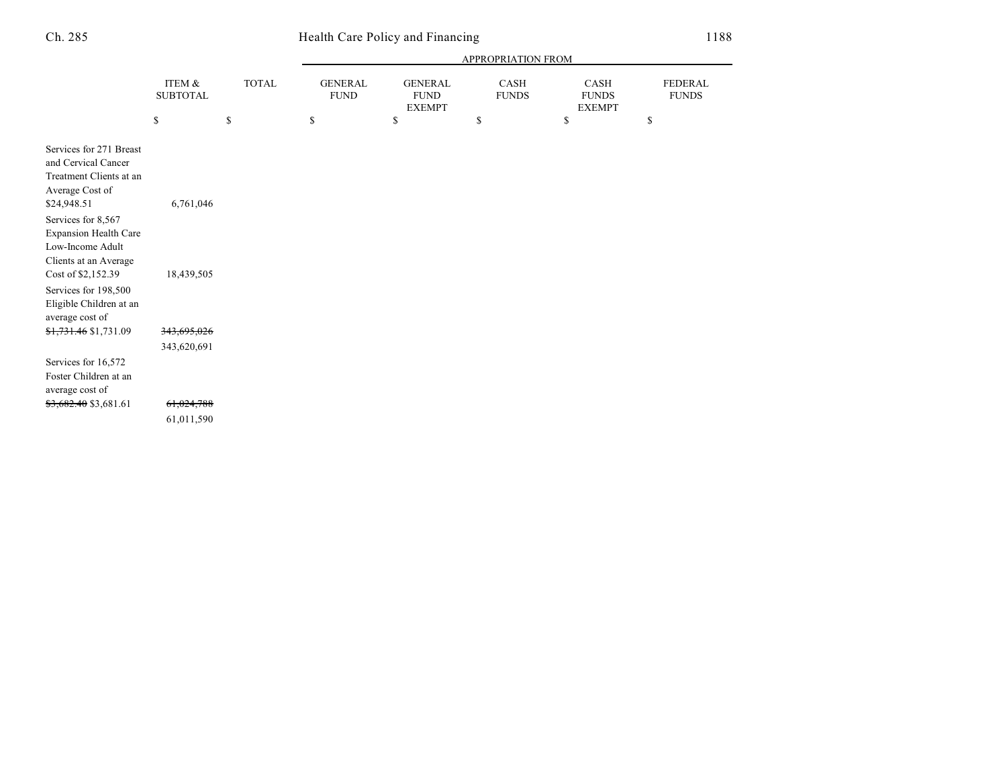## Ch. 285 Health Care Policy and Financing 1188

|                                                                                                                                                                                                                                                                                                                                     |                                                   |                    | APPROPRIATION FROM                  |                                                      |                            |                                             |                                      |
|-------------------------------------------------------------------------------------------------------------------------------------------------------------------------------------------------------------------------------------------------------------------------------------------------------------------------------------|---------------------------------------------------|--------------------|-------------------------------------|------------------------------------------------------|----------------------------|---------------------------------------------|--------------------------------------|
|                                                                                                                                                                                                                                                                                                                                     | ITEM &<br><b>SUBTOTAL</b><br>\$                   | <b>TOTAL</b><br>\$ | <b>GENERAL</b><br><b>FUND</b><br>\$ | <b>GENERAL</b><br><b>FUND</b><br><b>EXEMPT</b><br>\$ | CASH<br><b>FUNDS</b><br>\$ | CASH<br><b>FUNDS</b><br><b>EXEMPT</b><br>\$ | <b>FEDERAL</b><br><b>FUNDS</b><br>\$ |
| Services for 271 Breast<br>and Cervical Cancer<br>Treatment Clients at an<br>Average Cost of<br>\$24,948.51<br>Services for 8,567<br><b>Expansion Health Care</b><br>Low-Income Adult<br>Clients at an Average<br>Cost of \$2,152.39<br>Services for 198,500<br>Eligible Children at an<br>average cost of<br>\$1,731.46 \$1,731.09 | 6,761,046<br>18,439,505<br><del>343,695,026</del> |                    |                                     |                                                      |                            |                                             |                                      |
| Services for 16,572<br>Foster Children at an<br>average cost of<br>\$3,682.40 \$3,681.61                                                                                                                                                                                                                                            | 343,620,691<br>61,024,788<br>61,011,590           |                    |                                     |                                                      |                            |                                             |                                      |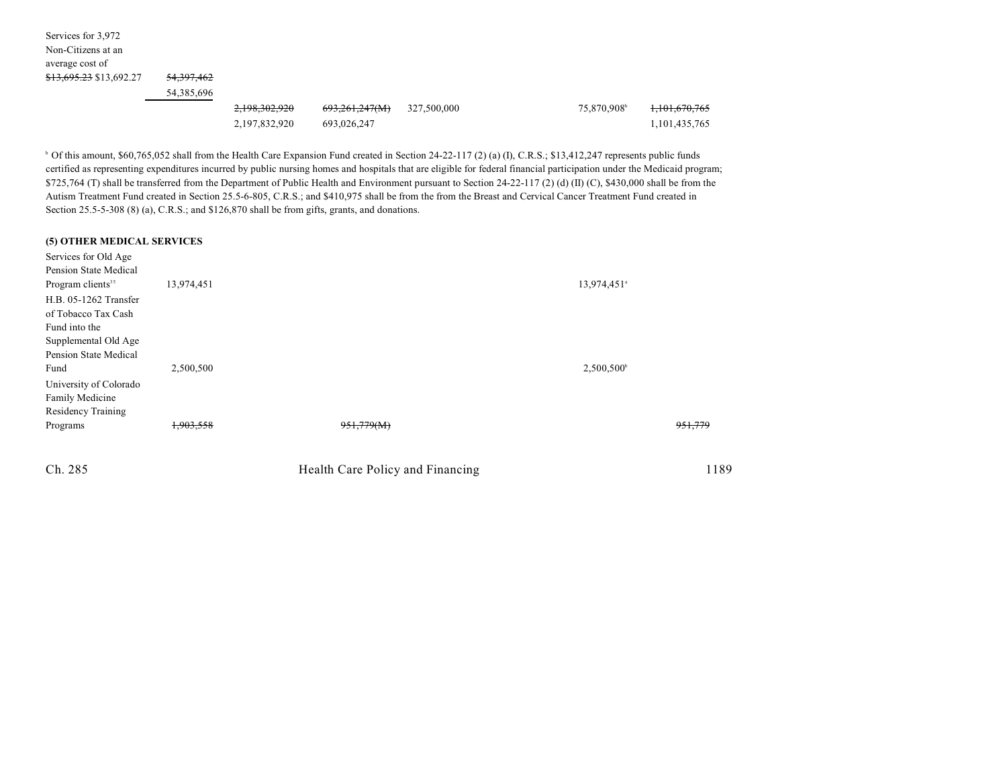| Services for 3,972                 |                       |               |                |             |                         |                          |
|------------------------------------|-----------------------|---------------|----------------|-------------|-------------------------|--------------------------|
| Non-Citizens at an                 |                       |               |                |             |                         |                          |
| average cost of                    |                       |               |                |             |                         |                          |
| <del>\$13,695.23</del> \$13,692.27 | <del>54,397,462</del> |               |                |             |                         |                          |
|                                    | 54,385,696            |               |                |             |                         |                          |
|                                    |                       | 2,198,302,920 | 693,261,247(M) | 327,500,000 | 75,870,908 <sup>b</sup> | <del>1,101,670,765</del> |
|                                    |                       | 2,197,832,920 | 693.026.247    |             |                         | 1,101,435,765            |

<sup>b</sup> Of this amount, \$60,765,052 shall from the Health Care Expansion Fund created in Section 24-22-117 (2) (a) (I), C.R.S.; \$13,412,247 represents public funds certified as representing expenditures incurred by public nursing homes and hospitals that are eligible for federal financial participation under the Medicaid program; \$725,764 (T) shall be transferred from the Department of Public Health and Environment pursuant to Section 24-22-117 (2) (d) (II) (C), \$430,000 shall be from the Autism Treatment Fund created in Section 25.5-6-805, C.R.S.; and \$410,975 shall be from the from the Breast and Cervical Cancer Treatment Fund created in Section 25.5-5-308 (8) (a), C.R.S.; and \$126,870 shall be from gifts, grants, and donations.

#### **(5) OTHER MEDICAL SERVICES**

| Services for Old Age                                                                  |            |                                  |                         |         |
|---------------------------------------------------------------------------------------|------------|----------------------------------|-------------------------|---------|
| Pension State Medical                                                                 |            |                                  |                         |         |
| Program clients <sup>35</sup>                                                         | 13,974,451 |                                  | 13,974,451 <sup>a</sup> |         |
| H.B. 05-1262 Transfer<br>of Tobacco Tax Cash<br>Fund into the<br>Supplemental Old Age |            |                                  |                         |         |
| Pension State Medical                                                                 |            |                                  |                         |         |
| Fund<br>University of Colorado<br>Family Medicine                                     | 2,500,500  |                                  | $2,500,500^{\circ}$     |         |
| <b>Residency Training</b>                                                             |            |                                  |                         |         |
| Programs                                                                              | 1,903,558  | 951,779(M)                       |                         | 951,779 |
| Ch. 285                                                                               |            | Health Care Policy and Financing |                         | 1189    |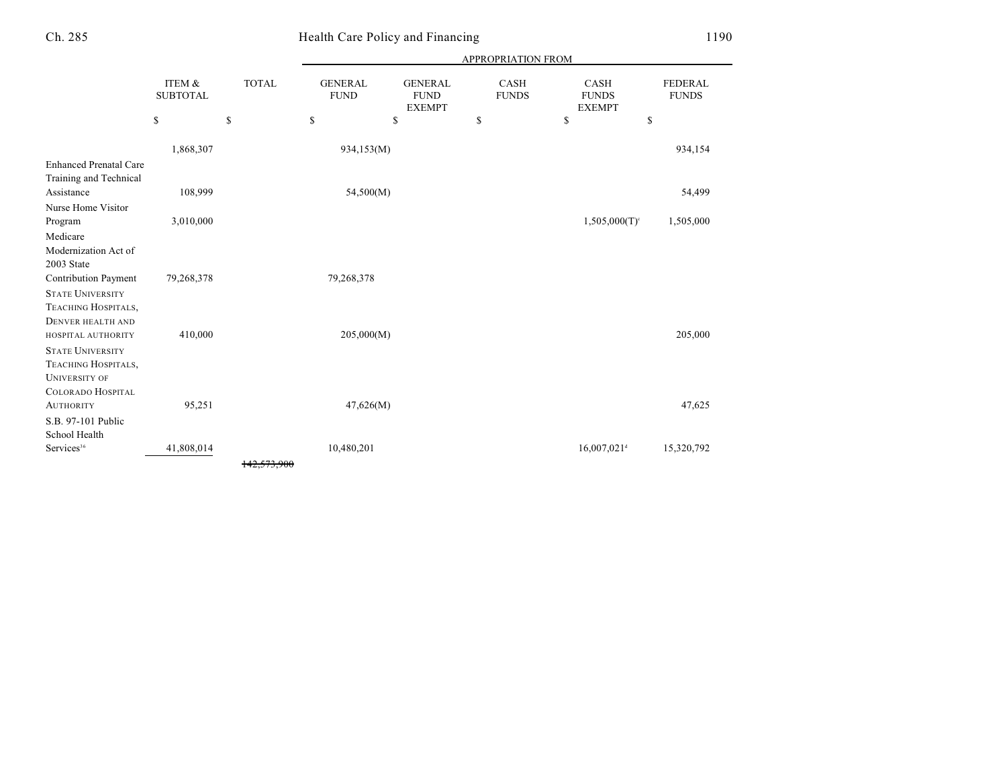### Health Care Policy and Financing 1190

|                               |                           |              | <b>APPROPRIATION FROM</b>     |                                                |                             |                                              |                         |  |
|-------------------------------|---------------------------|--------------|-------------------------------|------------------------------------------------|-----------------------------|----------------------------------------------|-------------------------|--|
|                               | ITEM &<br><b>SUBTOTAL</b> | <b>TOTAL</b> | <b>GENERAL</b><br><b>FUND</b> | <b>GENERAL</b><br><b>FUND</b><br><b>EXEMPT</b> | <b>CASH</b><br><b>FUNDS</b> | <b>CASH</b><br><b>FUNDS</b><br><b>EXEMPT</b> | FEDERAL<br><b>FUNDS</b> |  |
|                               | \$                        | \$           | \$                            | \$                                             | \$                          | \$<br>\$                                     |                         |  |
|                               | 1,868,307                 |              | 934,153(M)                    |                                                |                             |                                              | 934,154                 |  |
| <b>Enhanced Prenatal Care</b> |                           |              |                               |                                                |                             |                                              |                         |  |
| Training and Technical        |                           |              |                               |                                                |                             |                                              |                         |  |
| Assistance                    | 108,999                   |              | 54,500(M)                     |                                                |                             |                                              | 54,499                  |  |
| Nurse Home Visitor            |                           |              |                               |                                                |                             |                                              |                         |  |
| Program                       | 3,010,000                 |              |                               |                                                |                             | $1,505,000(T)$ <sup>c</sup>                  | 1,505,000               |  |
| Medicare                      |                           |              |                               |                                                |                             |                                              |                         |  |
| Modernization Act of          |                           |              |                               |                                                |                             |                                              |                         |  |
| 2003 State                    |                           |              |                               |                                                |                             |                                              |                         |  |
| Contribution Payment          | 79,268,378                |              | 79,268,378                    |                                                |                             |                                              |                         |  |
| <b>STATE UNIVERSITY</b>       |                           |              |                               |                                                |                             |                                              |                         |  |
| TEACHING HOSPITALS,           |                           |              |                               |                                                |                             |                                              |                         |  |
| <b>DENVER HEALTH AND</b>      |                           |              |                               |                                                |                             |                                              |                         |  |
| HOSPITAL AUTHORITY            | 410,000                   |              | 205,000(M)                    |                                                |                             |                                              | 205,000                 |  |
| <b>STATE UNIVERSITY</b>       |                           |              |                               |                                                |                             |                                              |                         |  |
| <b>TEACHING HOSPITALS,</b>    |                           |              |                               |                                                |                             |                                              |                         |  |
| <b>UNIVERSITY OF</b>          |                           |              |                               |                                                |                             |                                              |                         |  |
| <b>COLORADO HOSPITAL</b>      |                           |              |                               |                                                |                             |                                              |                         |  |
| <b>AUTHORITY</b>              | 95,251                    |              | 47,626(M)                     |                                                |                             |                                              | 47,625                  |  |
| S.B. 97-101 Public            |                           |              |                               |                                                |                             |                                              |                         |  |
| School Health                 |                           |              |                               |                                                |                             |                                              |                         |  |
| Services <sup>36</sup>        | 41,808,014                |              | 10,480,201                    |                                                |                             | $16,007,021$ <sup>d</sup>                    | 15,320,792              |  |
|                               |                           | 142,573,900  |                               |                                                |                             |                                              |                         |  |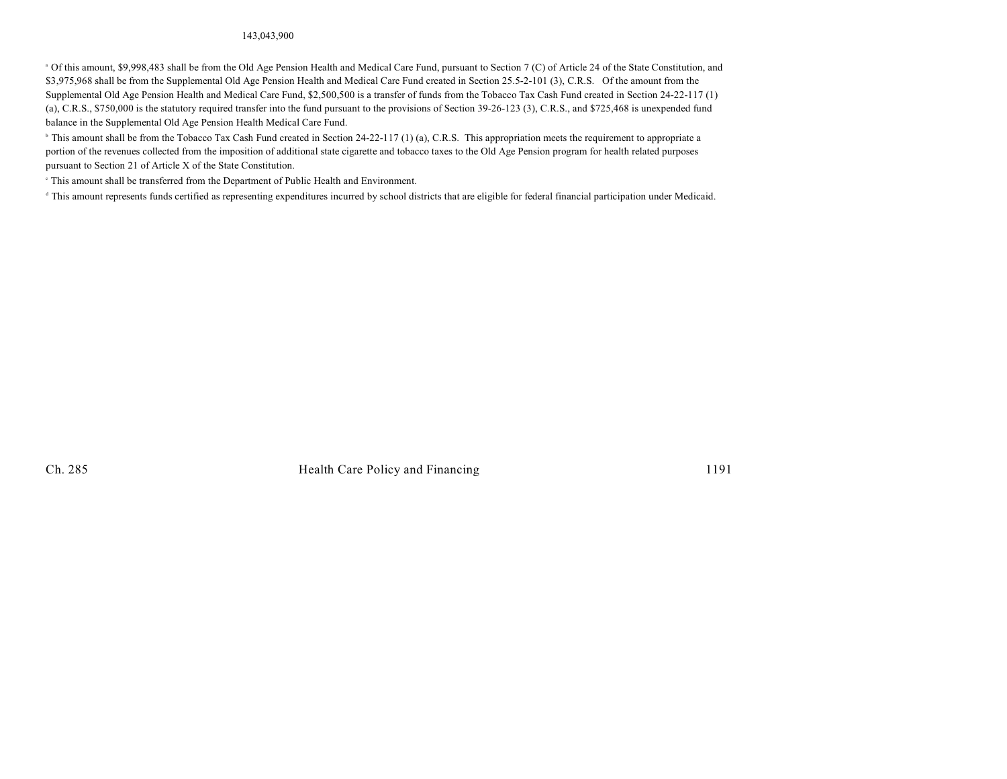#### 143,043,900

<sup>a</sup> Of this amount, \$9,998,483 shall be from the Old Age Pension Health and Medical Care Fund, pursuant to Section 7 (C) of Article 24 of the State Constitution, and \$3,975,968 shall be from the Supplemental Old Age Pension Health and Medical Care Fund created in Section 25.5-2-101 (3), C.R.S. Of the amount from the Supplemental Old Age Pension Health and Medical Care Fund, \$2,500,500 is a transfer of funds from the Tobacco Tax Cash Fund created in Section 24-22-117 (1) (a), C.R.S., \$750,000 is the statutory required transfer into the fund pursuant to the provisions of Section 39-26-123 (3), C.R.S., and \$725,468 is unexpended fund balance in the Supplemental Old Age Pension Health Medical Care Fund.

<sup>b</sup> This amount shall be from the Tobacco Tax Cash Fund created in Section 24-22-117 (1) (a), C.R.S. This appropriation meets the requirement to appropriate a portion of the revenues collected from the imposition of additional state cigarette and tobacco taxes to the Old Age Pension program for health related purposes pursuant to Section 21 of Article X of the State Constitution.

 $\degree$  This amount shall be transferred from the Department of Public Health and Environment.

<sup>d</sup> This amount represents funds certified as representing expenditures incurred by school districts that are eligible for federal financial participation under Medicaid.

Ch. 285 Health Care Policy and Financing 1191